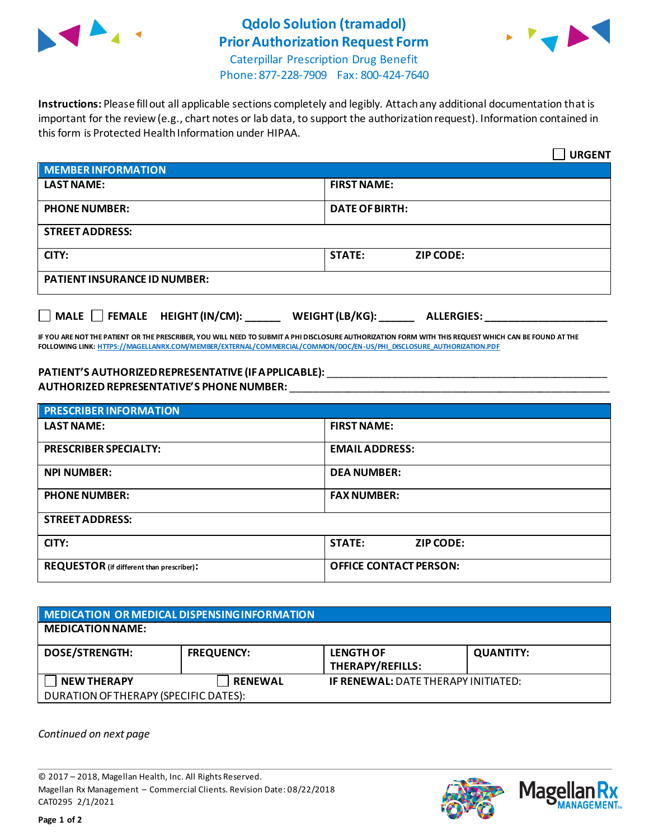

## **Qdolo Solution (tramadol) Prior Authorization Request Form**



Caterpillar Prescription Drug Benefit Phone: 877-228-7909 Fax: 800-424-7640

**Instructions:** Please fill out all applicable sections completely and legibly. Attach any additional documentation that is important for the review (e.g., chart notes or lab data, to support the authorization request). Information contained in this form is Protected Health Information under HIPAA.

|                                                                                   | <b>URGENT</b>                     |  |  |  |
|-----------------------------------------------------------------------------------|-----------------------------------|--|--|--|
| <b>MEMBER INFORMATION</b>                                                         |                                   |  |  |  |
| <b>LAST NAME:</b>                                                                 | <b>FIRST NAME:</b>                |  |  |  |
| <b>PHONE NUMBER:</b>                                                              | <b>DATE OF BIRTH:</b>             |  |  |  |
| <b>STREET ADDRESS:</b>                                                            |                                   |  |  |  |
| CITY:                                                                             | <b>STATE:</b><br><b>ZIP CODE:</b> |  |  |  |
| <b>PATIENT INSURANCE ID NUMBER:</b>                                               |                                   |  |  |  |
| $\Box$ MALE $\Box$ FEMALE HEIGHT (IN/CM):<br>WEIGHT (LB/KG):<br><b>ALLERGIES:</b> |                                   |  |  |  |

**IF YOU ARE NOT THE PATIENT OR THE PRESCRIBER, YOU WILL NEED TO SUBMIT A PHI DISCLOSURE AUTHORIZATION FORM WITH THIS REQUEST WHICH CAN BE FOUND AT THE FOLLOWING LINK[: HTTPS://MAGELLANRX.COM/MEMBER/EXTERNAL/COMMERCIAL/COMMON/DOC/EN-US/PHI\\_DISCLOSURE\\_AUTHORIZATION.PDF](https://magellanrx.com/member/external/commercial/common/doc/en-us/PHI_Disclosure_Authorization.pdf)**

## **PATIENT'S AUTHORIZED REPRESENTATIVE (IF APPLICABLE):** \_\_\_\_\_\_\_\_\_\_\_\_\_\_\_\_\_\_\_\_\_\_\_\_\_\_\_\_\_\_\_\_\_\_\_\_\_\_\_\_\_\_\_\_\_\_\_\_ **AUTHORIZED REPRESENTATIVE'S PHONE NUMBER:** \_\_\_\_\_\_\_\_\_\_\_\_\_\_\_\_\_\_\_\_\_\_\_\_\_\_\_\_\_\_\_\_\_\_\_\_\_\_\_\_\_\_\_\_\_\_\_\_\_\_\_\_\_\_\_

| <b>PRESCRIBER INFORMATION</b>             |                                   |  |  |
|-------------------------------------------|-----------------------------------|--|--|
| <b>LAST NAME:</b>                         | <b>FIRST NAME:</b>                |  |  |
| <b>PRESCRIBER SPECIALTY:</b>              | <b>EMAIL ADDRESS:</b>             |  |  |
| <b>NPI NUMBER:</b>                        | <b>DEA NUMBER:</b>                |  |  |
| <b>PHONE NUMBER:</b>                      | <b>FAX NUMBER:</b>                |  |  |
| <b>STREET ADDRESS:</b>                    |                                   |  |  |
| CITY:                                     | <b>STATE:</b><br><b>ZIP CODE:</b> |  |  |
| REQUESTOR (if different than prescriber): | <b>OFFICE CONTACT PERSON:</b>     |  |  |

| MEDICATION OR MEDICAL DISPENSING INFORMATION |                   |                                             |                  |  |  |
|----------------------------------------------|-------------------|---------------------------------------------|------------------|--|--|
| <b>MEDICATION NAME:</b>                      |                   |                                             |                  |  |  |
| <b>DOSE/STRENGTH:</b>                        | <b>FREQUENCY:</b> | <b>LENGTH OF</b><br><b>THERAPY/REFILLS:</b> | <b>QUANTITY:</b> |  |  |
| <b>NEW THERAPY</b>                           | <b>RENEWAL</b>    | <b>IF RENEWAL: DATE THERAPY INITIATED:</b>  |                  |  |  |
| DURATION OF THERAPY (SPECIFIC DATES):        |                   |                                             |                  |  |  |

*Continued on next page*

© 2017 – 2018, Magellan Health, Inc. All Rights Reserved. Magellan Rx Management – Commercial Clients. Revision Date: 08/22/2018 CAT0295 2/1/2021